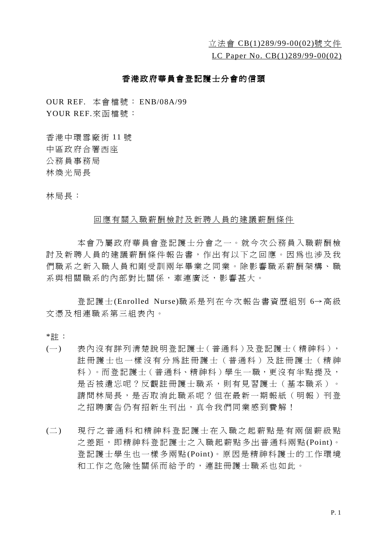LC Paper No. CB(1)289/99-00(02)

# 香港政府華員會登記護士分會的信頭

OUR REF. 本會檔號: ENB/08A/99 YOUR REF.來函檔號:

香港中環雪廠街 11號 ㆗區政府合署西座 公務員事務局 林煥光局長

林局長:

### 回應有關入職薪酬檢討及新聘㆟員的建議薪酬條件

本會乃屬政府華員會登記護士分會之㆒。就今次公務員入職薪酬檢 討及新聘人員的建議薪酬條件報告書,作出有以下之回應。因為也涉及我 們職系之新入職人員和剛受訓兩年畢業之同業。除影響職系薪酬架構、職 系與相關職系的內部對比關係,牽連廣泛,影響甚大。

登記護士(Enrolled Nurse)職系是列在今次報告書資歷組別 6→高級 文憑及相連職系第三組表內。

- \*註 :
- (一) 表內沒有詳列清楚說明登記護士(普通科)及登記護士(精神科), 註冊護士也㆒樣沒有分為註冊護士(普通科)及註冊護士(精神 科)。而登記護士 ( 普通科、精神科) 學生一職, 更沒有半點提及, 是否被潰忘呢?反觀註冊護士職系,則有見習護士(基本職系)。 請問林局長,是否取消此職系呢?但在最新一期報紙(明報)刊登 之招聘廣告仍有招新生刊出,真令我們同業感到費解!
- (㆓ ) 現行之普通科和精神科登記護士在入職之起薪點是有兩個薪級點 之差距,即精神科登記護士之入職起薪點多出普通科兩點(Point)。 登記護士學生也一樣多兩點(Point)。原因是精神科護士的工作環境 和工作之危險性關係而給予的,連註冊護士職系也如此。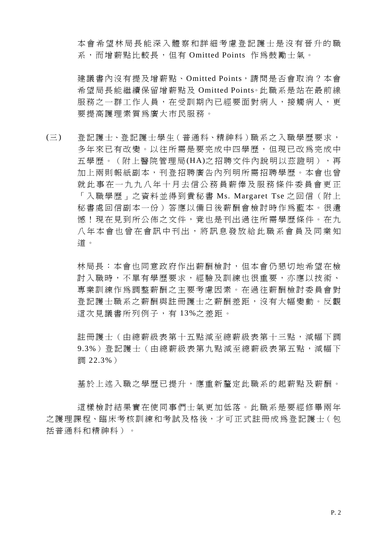本會希望林局長能深入體察和詳細考慮登記護士是沒有晉升的職 系,而增薪點比較長,但有 Omitted Points 作為鼓勵士氣。

建議書內沒有提及增薪點、Omitted Points,請問是否會取消?本會 希望局長能繼續保留增薪點及 Omitted Points。此 職 系 是 站在 最 前線 服務之一群工作人員,在受訓期內已經要面對病人,接觸病人,更 要提高護理素質為廣大市民服務。

(三) 登記護士、登記護士學生 ( 普通科、精神科 ) 職系之入職學歷要求, 多年來已有改變。以往所需是要完成中四學歷,但現已改為完成中 五學歷。(附上醫院管理局(HA)之招聘文件內說明以茲證明),再 加上兩則報紙副本,刊登招聘廣告內列明所需招聘學歷。本會也曾 就此事在一九九八年十月去信公務員薪俸及服務條件委員會更正 「入職學歷」之資料並得到貴秘書 Ms. Margaret Tse 之回信 (附上 秘書處回信副本一份)答應以備日後薪酬會檢討時作為藍本。很遺 憾!現在見到 所公佈 之文件,竟 也是刊出 過往所需 學歷條件。在 九 八年本會也曾在會訊中刊出,將訊息發放給此職系會員及同業知 道。

> 林局長:本會也同意政府作出薪酬檢討,但本會仍懇切地希望在檢 討入職時,不單有學歷要求,經驗及訓練也很重要,亦應以技術、 專業 訓 練作 為 調整薪酬之 主 要考慮因素。在 過 往 薪酬檢討 委員會對 登記護士職系之薪酬與註冊護士之薪酬差距,沒有大幅變動。反觀 這次見議書所列例子,有13%之差距。

> 註冊護士(由總薪級表第十五點減至總薪級表第十三點,減幅下調 9.3%)登記護士(由總薪級表第九點減至總薪級表第五點,減幅下 調 22.3%)

基於上述入職之學歷已提升,應重新釐定此職系的起薪點及薪酬。

這樣檢討結果實在使同事們士氣更加低落。此職系是要經修畢兩年 之護 理課程、臨床考核訓練和考試 及格後,才可正式註冊成為登記護士(包 括普通科和精神科)。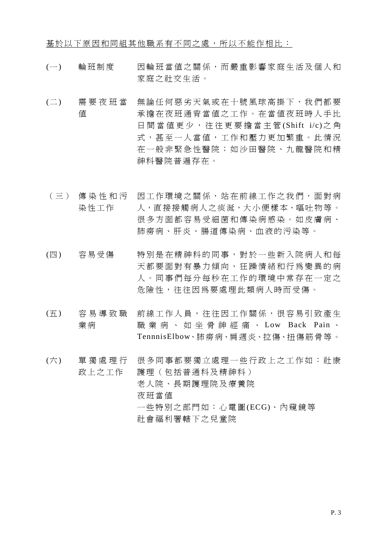基於以下原因和同組 其 他 職 系有 不 同 之 處 , 所 以 不 能 作 相 比 :

- (一) 輪班制度 因輪班當值之關係,而嚴重影響家庭生活及個人和 家庭 之 社交 生 活。
- (㆓ ) 需要夜班當 值 無論任何惡劣天氣或在十號風球高掛下,我們都要 承擔在夜班通宵當值之工作。在當值夜班時人手比 日間當值 更 少 , 往 往 更 要擔當主管 (Shift i/c)之 角 式,甚至一人當值,工作和壓力更加繁重。此情況 在一般非緊急性醫院; 如沙田醫院、九龍醫院和精 神科醫院普遍存在。
- (㆔) 傳 染 性 和 污 傳 染 性 和 污 因工作環境之關係,站在前線工作之我們,面對病<br>染性工作 人,直接接觸病人之痰涎,大小便樣本、嘔吐物等。 很多方面都容易受細菌和傳染病感染。如皮膚病、 肺癆病、肝炎、腸道傳染病、血液的污染等。
- (四) 容易受傷 特別是在精神科的同事,對於一些新入院病人和每 天都要面對有暴力傾向、狂躁情緒和行為變異的病 人。同事們每分每秒在工作的環境中常存在一定之 危險性,往往因為要處理此類病人時而受傷。
- (五 ) 容易導致 職 業病 前線工作人員, 往往因工作關係, 很容易引致產生 職 業 病 、 如 坐 骨 神 經 痛 、 Low Back Pain 、 TennnisElbow、肺癆病、肩週炎、拉 傷、扭傷筋骨等。
- (六) 單獨處理行 單獨處理行 很多同事都要獨立處理一些行政上之工作如:社康<br>政上之工作 護理 ( 包括普通科及精神科 ) 老人院、長期護理院及療養院 夜班當值 ㆒些 特 別之部 門如: 心 電 圖(ECG)、 內 窺 鏡 等 社會 福 利署 轄 ㆘之兒 童 院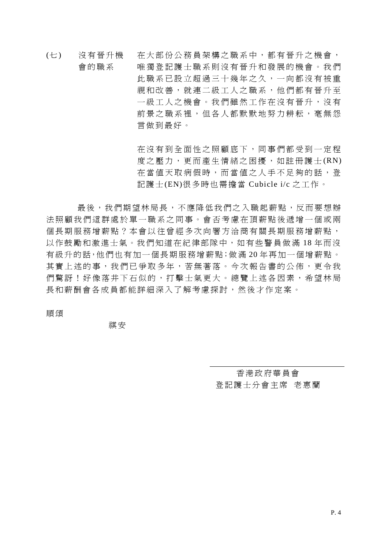(七 ) 沒有晉升 機 沒有晉升機 在大部份公務員架構之職系中,都有晉升之機會,<br>會的職系 唯獨登記護士職系則沒有晉升和發展的機會。我們 此職系已設立超過三十幾年之久,一向都沒有被重 視和改善,就連二級工人之職系,他們都有晉升至 一級工人之機會。我們雖然工作在沒有晉升,沒有 前景之職系裡,但各人都默默地努力耕耘,喜無怨 言做 到 最好 。

> 在沒有到全面性之照顧底下,同事們都受到一定程 度之壓力,更而產生情緒之困擾,如註冊護士(RN) 在當值天取病假時,而當值之人手不足夠的話,登 記護士 (EN)很 多時也 需擔當 Cubicle i/c 之工作。

最後,我們期望林局長,不應降低我們之入職起薪點,反而要想辦 法照顧我們這群處於單一職系之同事。會否考慮在頂薪點後遞增一個或兩 個長期服務增薪點 ?本會以往曾經多次向署方洽商有關長期服務增薪點, 以作鼓勵和激進士氣。我們知道在紀律部隊中,如有些警員做滿 18 年而沒 有級升的話,他們也有加一個長期服務增薪點;做滿 20 年再加一個增薪點。 其實上述的事, 我們已爭取多年, 苦無著落。今次報告書的公佈, 更令我 們驚訝!好像落井下石似的,打擊士氣更大。總覽上述各因素,希望林局 長和薪酬會各成員都能詳細深入了解考慮探討,然後才作定案。

順頌

祺安

香港政府華員會 登記護士分會主席 老惠蘭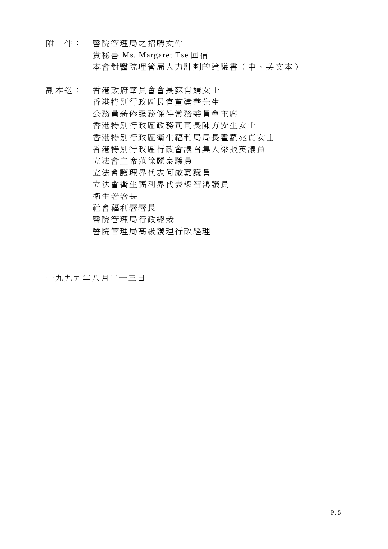- 附 件 : 醫院管理局之招聘文件 貴秘 書 Ms. Margaret Tse 回 信 本會對醫院理管局人力計劃的建議書(中、英文本)
- 副本送: 香港政府華員會會長蘇肖娟女士 香港特別行政區長官董建華先生 公務員薪俸 服務條件 常 務 委 員會 主 席 香港 特 別行政區政務 司 司 長 陳方 安 生女士 香港特別行政區衛生福利局局長霍羅兆貞女士 香港特別行政區行政會議召集人梁振英議員 立法會 主席范徐麗泰 議 員 立法會護理界代表何敏嘉議員 立法會衛生福利界代表梁智鴻議員 衛生署署長 社會 福 利署署長 醫院管理局行政總栽 醫院管理局高級護理行政經理

一九九九年八月二十三日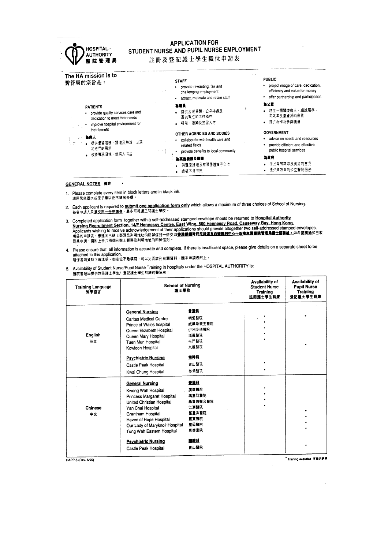### HOSPITAL-**AUTHORITY** 整院管理局

## **APPLICATION FOR** STUDENT NURSE AND PUPIL NURSE EMPLOYMENT 註冊及登記護士學生職位申請表

| The HA mission is to<br>醫管局的宗旨是:                                                                                                                                                                | <b>STAFF</b><br>provide rewarding, fair and<br>$\epsilon$ .<br>chailenging employment<br>attract, motivate and retain staff                                                                                         | <b>PUBLIC</b><br>project image of care, dedication,<br>efficiency and value for money<br>offer partnership and participation                                                                                        |
|-------------------------------------------------------------------------------------------------------------------------------------------------------------------------------------------------|---------------------------------------------------------------------------------------------------------------------------------------------------------------------------------------------------------------------|---------------------------------------------------------------------------------------------------------------------------------------------------------------------------------------------------------------------|
| <b>PATIENTS</b><br>provide quality services care and<br>dedication to meet their needs<br>improve hospital environment for<br>their benefit<br>為病人<br>提供優質服務・關懷及熱誠・以滿<br>足地們的需求<br>改善醫院環境・使病人得益 | æa<br>● 提供合理薪酬・公平待遇及<br>富挑戰些的工作爆炸<br>- 吸引・激勵及挽留入才<br>OTHER AGENCIES AND BODIES<br>collaborate with health care and<br>related fields<br>provide benefits to local community<br>為其他操構及團體<br>與醫療護理及有關團體攜手合作<br>造福本港市民 | 為公靈<br>● 建立一個關懷病人・竭誠服務・<br>高效率及善資源的形象<br>提供合作及参與機會<br><b>GOVERNMENT</b><br>advise on needs and resources<br>provide efficient and effective<br>٠<br>public hospital services<br>為政府<br>提出有關需求及資源的意見<br>提供高效率的公立醫院服務 |

#### GENERAL NOTES 備註

1. Please complete every item in block letters and in black ink. 

- 2. Each applicant is required to <u>submit one application form only</u> which allows a maximum of three choices of School of Nursing.<br>每名申請人<u>只須交回一份申請表</u> · 最多可報讀三間護士學校 ·
- 3. Completed application form\_together with a self-addressed stamped envelope should be returned to <u>Ho**spital Authority**<br>Nursing Recruitment Section, 14/F Hennessy Centre, East Wing, 500 Hennessy Road, Causeway Bay, Hong</u>
- 4. Please ensure that all information is accurate and complete. If there is insufficient space, please give details on a separate sheet to be attached to this application.

--------- - - ---- ----------------<br>確保各項資料正確填妥。如空位不敷填寫 · 可以另頁詳列有關資料 · 隨本申請表附上 •

5. Availability of Student Nurse/Pupil Nurse Training in hospitals under the HOSPITAL AUTHORITY is:<br>醫院管理局提供註冊護士學生/ 登記護士學生訓練的醫院有:

| <b>Training Language</b><br>教學語言 | <b>School of Nursing</b><br>護士學校                                                                                                                                                                                                                                                                 |                                                                                         | <b>Availability of</b><br><b>Student Nurse</b><br><b>Training</b><br>註冊挿士學生訓練 | Availability of<br><b>Pupil Nurse</b><br><b>Training</b><br>登記護士學生訓練 |  |
|----------------------------------|--------------------------------------------------------------------------------------------------------------------------------------------------------------------------------------------------------------------------------------------------------------------------------------------------|-----------------------------------------------------------------------------------------|-------------------------------------------------------------------------------|----------------------------------------------------------------------|--|
| English<br>英文                    | <b>General Nursing</b><br><b>Caritas Medical Centre</b><br>Prince of Wales hospital<br>Queen Elizabeth Hospital<br>Queen Mary Hospital<br>Tuen Mun Hospital<br>Kowloon Hospital<br><b>Psychiatric Nursing</b><br>Castle Peak Hospital<br>Kwai Chung Hospital                                     | 普通县<br>明爱醫院<br>威爾斯親王醫院<br>伊利沙伯醫院<br>瑪麗醫院<br>中門醫院<br>九龍醫院<br>精神县<br>耆山醫院<br>葵涌醫院         |                                                                               |                                                                      |  |
| <b>Chinese</b><br>中文             | <b>General Nursing</b><br>Kwong Wah Hospital<br>Princess Margaret Hospital<br>United Christian Hospital<br>Yan Chai Hospital<br>Grantham Hospital<br>Haven of Hope Hospital<br>Our Lady of Maryknoll Hospital<br>Tung Wah Eastern Hospital<br><b>Psychiatric Nursing</b><br>Castle Peak Hospital | 普通科<br>廣華醫院<br>瑪嘉烈醫院<br>基督教聯合醫院<br>仁濟醫院<br>葛置洪醫院<br>雷官醫院<br>聖母醫院<br>東聾東院<br>雅教狂<br>青山醫院 |                                                                               |                                                                      |  |

HAPP-5 (Rev. 6/95)

\* Training Available 有提供展開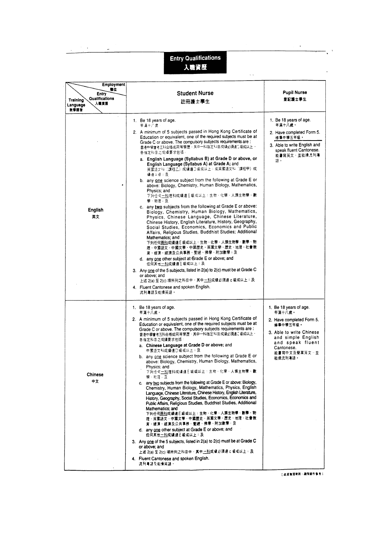| <b>Entry Qualifications</b><br>入職資歷                                                        |                                                                                                                                                                                                                                                                                                                                                                                                                                                                                                                                                                                                                                                                                                                                                                                                                                                                                                                                                                                                                                                                                                                                                                                                                                                                                                                                                                                                                      |                                                                                                                                                                                          |  |
|--------------------------------------------------------------------------------------------|----------------------------------------------------------------------------------------------------------------------------------------------------------------------------------------------------------------------------------------------------------------------------------------------------------------------------------------------------------------------------------------------------------------------------------------------------------------------------------------------------------------------------------------------------------------------------------------------------------------------------------------------------------------------------------------------------------------------------------------------------------------------------------------------------------------------------------------------------------------------------------------------------------------------------------------------------------------------------------------------------------------------------------------------------------------------------------------------------------------------------------------------------------------------------------------------------------------------------------------------------------------------------------------------------------------------------------------------------------------------------------------------------------------------|------------------------------------------------------------------------------------------------------------------------------------------------------------------------------------------|--|
| <b>Employment</b><br>職位<br>Entry<br>Qualifications<br>Training<br>入職資歷<br>Language<br>教學語言 | <b>Student Nurse</b><br>註冊護士學生                                                                                                                                                                                                                                                                                                                                                                                                                                                                                                                                                                                                                                                                                                                                                                                                                                                                                                                                                                                                                                                                                                                                                                                                                                                                                                                                                                                       | <b>Pupil Nurse</b><br>登記護士學生                                                                                                                                                             |  |
| English<br>英文                                                                              | 1. Be 18 years of age.<br>年青十八歲<br>2. A minimum of 5 subjects passed in Hong Kong Certificate of<br>Education or equivalent, one of the required subjects must be at<br>Grade C or above. The compulsory subjects requirements are :<br>香港中學會考査科合格或同等學歷・其中一科指定科目成績必須建つ級或以上・<br>各指定科目之成績要求包括:<br>a. English Language (Syllabus B) at Grade D or above, or<br>English Language (Syllabus A) at Grade A; and<br>英國語文科(課程乙)成績達D吸或以上:或英國語文科(課程甲)成<br>缝缝子吸上及<br>b. any one science subject from the following at Grade E or<br>above: Biology, Chemistry, Human Biology, Mathematics,<br>Physics; and<br>下列任何一科理科成績達日級或以上:生物・化學・人類生物學・數<br>學 物理:及<br>c. any two subjects from the following at Grade E or above:<br>Biology, Chemistry, Human Biology, Mathematics,<br>Physics, Chinese Language, Chinese Literature,<br>Chinese History, English Literature, History, Geography,<br>Social Studies, Economics, Economics and Public<br>Affairs, Religious Studies, Buddhist Studies; Additional<br>Mathematics; and<br>下列任何 <u>兩科</u> 成績達 E 级或以上:生物、化學、人類生物學、數學、物<br>理、中國語文、中國文學、中國歷史、英國文學、歷史、地理、社會敎<br>育、經濟、經濟及公共事務、聖經、佛學、附加數學;及<br>d. any one other subject at Grade E or above; and<br>任何其也一科成績達日级或以上;及<br>3. Any one of the 5 subjects, listed in 2(a) to 2(c) must be at Grade C<br>or above; and<br>上述 2(a) 至 2(c) 項所列之科目中 · 其中 <u>一科</u> 成績必須達 c 級或以上 · 及<br>4. Fluent Cantonese and spoken English.<br>流利粵語及能操英語。 | 1. Be 18 years of age.<br>年滿十八歲。<br>2. Have completed Form 5.<br>修畢中學五年級,<br>3. Able to write English and<br>speak fluent Cantonese.<br>能書寫英文・並能操流利專<br>語。                               |  |
| <b>Chinese</b><br>中文                                                                       | 1. Be 18 years of age.<br>年滿十八歲,<br>2. A minimum of 5 subjects passed in Hong Kong Certificate of<br>Education or equivalent, one of the required subjects must be at<br>Grade C or above. The compulsory subjects requirements are :<br>香港中學會考五科合格或同等學歷・其中一科指定科目成績必須建こ吸或以上・<br>各指定科目之成績要求包括<br>a. Chinese Language at Grade D or above; and<br>中國語文科成績達○級或以上:及<br>b. any one science subject from the following at Grade E or<br>above: Biology, Chemistry, Human Biology, Mathematics,<br>Physics: and<br>下列任何一科理科成績達日級或以上:主初、化學、人類主物學、數<br>舉、物理、及<br>c. any two subjects from the following at Grade E or above: Biology,<br>Chemistry, Human Biology, Mathematics, Physics, English<br>Language, Chinese Literature, Chinese History, English Literature,<br>History, Geography, Social Studies, Economics, Economics and<br>Public Affairs, Religious Studies, Buddhist Studies, Additional<br>Mathematics; and<br>下列任何 <u>兩科</u> 成績達日級或以上:生物、化學、人類生物學、數學、物<br>理・英園語文・中國文學・中國歷史・英国文學・歷史・地理・社會教<br>斉・經濟・經濟及公共事務・聖經・佛學・附加數學:及<br>d. any one other subject at Grade E or above; and<br>任何其他 <u>一科</u> 成績達E級或以上:及<br>3. Any one of the 5 subjects, listed in 2(a) to 2(c) must be at Grade C<br>or above; and<br>上述 2(a) 至 2(c) 項所列之科目中 · 其中 <u>一科</u> 成績必須達 c 吸或以上 ÷ 及                                                                                                                                             | 1. Be 18 years of age.<br>年滿十八歲。<br>2. Have completed Form 5.<br>修舉中學五年級。<br>3. Able to write Chinese<br>and simple English<br>and speak fluent<br>Cantonese.<br>能書寫中文及簡單英文 並<br>能操流利專語。 |  |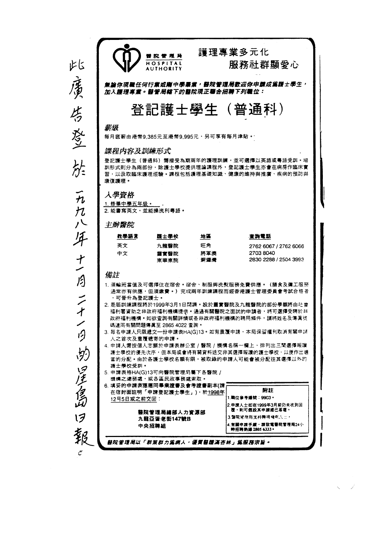| よに                       |                                         | 普 院 管 理 局<br><b>HOSPITAL</b> |          | 護理專業多元化<br>服務社群顯愛心                                                                                                         |
|--------------------------|-----------------------------------------|------------------------------|----------|----------------------------------------------------------------------------------------------------------------------------|
| 鹰                        | 加入護理享業。醫管局轄下的醫院現正聯合招聘下列職位:              |                              |          | 無論你現職任何行業或 <b>剛中學畢業,醫院管理局款</b> 迎你申請成爲護士學生,                                                                                 |
|                          |                                         |                              |          |                                                                                                                            |
| 片                        |                                         |                              |          | 登記護士學生(普通科)                                                                                                                |
| 登上                       | 薪级<br>每月底薪由港幣9.385元至港幣9.995元・另可享有每月津貼。  |                              |          |                                                                                                                            |
|                          | 課程内容及訓練形式                               |                              |          |                                                                                                                            |
| 分:                       | 康復護理。                                   |                              |          | 登記護士學生(普通科)需接受為期兩年的護理訓練,並可選擇以英語或粵語受訓。培<br>訓形式則分為兩部份,除護士學校提供理論課程外,登記護士學生亦會在病房作臨床實<br>習,以汲取臨床護理經驗。課程包括護理基礎知識、健康的維持與推廣、疾病的預防與 |
| $\tilde{n}$              | 人學資格<br>1. 修畢中學五年级。                     |                              |          |                                                                                                                            |
| H                        | 2. 能書寫英文 · 並能操流利粵語。                     |                              |          |                                                                                                                            |
| $\lambda$                | 主辦醫院                                    |                              |          |                                                                                                                            |
| $\frac{1}{2}$            | 教學語言<br>英文                              | 護士學校<br>九龍醫院                 | 地區<br>旺角 | 查詢電話<br>2762 6067 / 2762 6066                                                                                              |
|                          | 中文                                      | 靈實醫院                         | 將軍澳      | 2703 8040                                                                                                                  |
| $\frac{1}{2}$            |                                         | 東華東院                         | 銅鑼灣      | 2830 2288 / 2504 3993                                                                                                      |
| 月                        | 備註                                      |                              |          |                                                                                                                            |
|                          |                                         |                              |          | 1. 須輪班當值及可選擇住在宿舍。宿舍、制服與洗熨服務免費供應。(膳食及傭工服務<br>通常亦有供應,但須繳費。)完成兩年訓練課程而經香港護士管理委員會考試合格者                                          |
| ンイ                       | ・可晉升為登記護士。                              |                              |          | 2. 是屆訓練課程將於1999年3月1日開課。設於靈實醫院及九龍醫院的部份學額將由社會                                                                                |
|                          |                                         |                              |          | 福利署資助之非政府福利機構提供。通過有關醫院之面試的申請者・將可選擇受聘於非                                                                                     |
| $\overline{\mathscr{S}}$ |                                         | 碼連同有關問題傳真至 2865 4022 查詢。     |          | 政府福利機構。如欲查詢有關詳情或各非政府福利機構的聘用條件,請將姓名及傳真號                                                                                     |
| קי                       | 人之首次及重覆遞寄的申請。                           |                              |          | 3. 每名申請人只限遞交一份申請表HA(G)13。如有重覆申請・本局保留權利取消有關申請                                                                               |
|                          |                                         |                              |          | 4. 申請人需按個人志願於申請表辦公室/醫院/機構名稱一欄上・排列出三間選擇報讀<br>護士學校的優先次序・但本局或會將有關資料送交非其選擇報讀的護士學校・以便作出適                                        |
|                          |                                         |                              |          | 當的分配。由於各護士學校名額有限,被取錄的申請人可能會被分配往其選擇以外的                                                                                      |
|                          | 護士學校受訓。<br>5. 申請表格HA(G)13可向醫院管理局屬下各醫院 / |                              |          |                                                                                                                            |
|                          | 6. 填妥的申請表應連同畢業證書及會考證書副本(請               | 機構之總務處・或各區民政事務處索取。           |          |                                                                                                                            |
|                          |                                         | 在信封面註明「申請登記護士學生」),於1998年     |          | 附註<br>1.職位参考編號:9903·                                                                                                       |
| めぼりの                     | 12月5日或之前交回:                             |                              |          | 2.申請人士如在1999年3月前仍未收到回<br>覆・則可假設其申請經己落覆・                                                                                    |
|                          |                                         | 醫院管理局總部人力資源部<br>九龍亞皆老街147號B  |          | 3.醫院管理局支持聘用補年人:十                                                                                                           |
|                          |                                         | 中央招聘組                        |          | 4.有關申請手續・請致電醫院管理局24小<br>時招聘熱線 2805 6333 •                                                                                  |
| 報                        |                                         |                              |          | <b>皆院管理局以「群策群力爲病人,優質醫護滿杏林」爲服務宗旨。</b>                                                                                       |
| $\mathcal{C}$            |                                         |                              |          |                                                                                                                            |
|                          |                                         |                              |          |                                                                                                                            |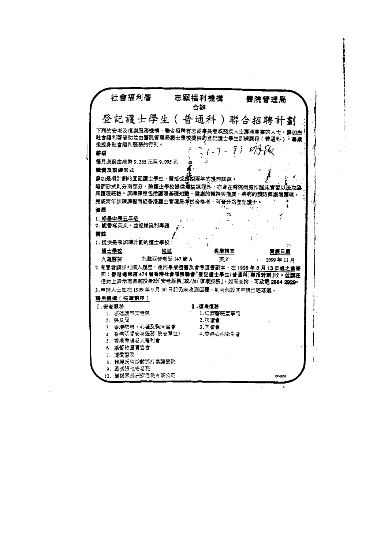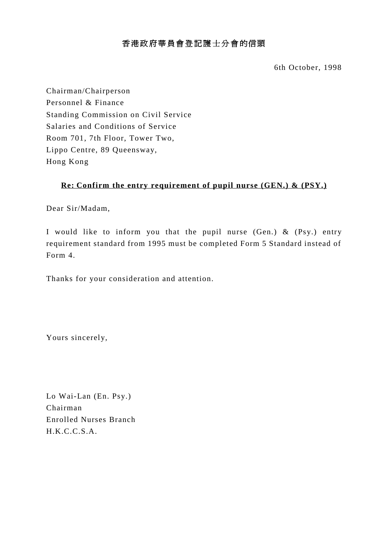6th October, 1998

Chairman/Chairperson Personnel & Finance Standing Commission on Civil Service Salaries and Conditions of Service Room 701, 7th Floor, Tower Two, Lippo Centre, 89 Queensway, Hong Kong

# **Re: Confirm the entry requirement of pupil nurse (GEN.) & (PSY.)**

Dear Sir/Madam,

I would like to inform you that the pupil nurse (Gen.) & (Psy.) entry requirement standard from 1995 must be completed Form 5 Standard instead of Form 4.

Thanks for your consideration and attention.

Yours sincerely,

Lo Wai-Lan (En. Psy.) Chairman Enrolled Nurses Branch H.K.C.C.S.A.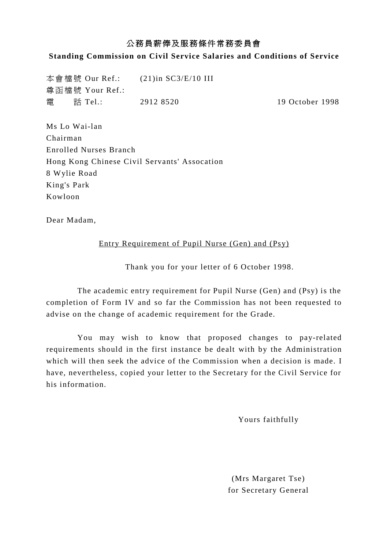# 公務員薪俸及服務條件常務委員會

# **Standing Commission on Civil Service Salaries and Conditions of Service**

本會檔號 Our Ref.: (21)in SC3/E/10 III 尊函檔號 Your Ref.: 電 話 Tel.: 2912 8520 19 October 1998

Ms Lo Wai-lan Chairman Enrolled Nurses Branch Hong Kong Chinese Civil Servants' Assocation 8 Wylie Road King's Park Kowloon

Dear Madam,

Entry Requirement of Pupil Nurse (Gen) and (Psy)

Thank you for your letter of 6 October 1998.

The academic entry requirement for Pupil Nurse (Gen) and (Psy) is the completion of Form IV and so far the Commission has not been requested to advise on the change of academic requirement for the Grade.

You may wish to know that proposed changes to pay-related requirements should in the first instance be dealt with by the Administration which will then seek the advice of the Commission when a decision is made. I have, nevertheless, copied your letter to the Secretary for the Civil Service for his information.

Yours faithfully

(Mrs Margaret Tse) for Secretary General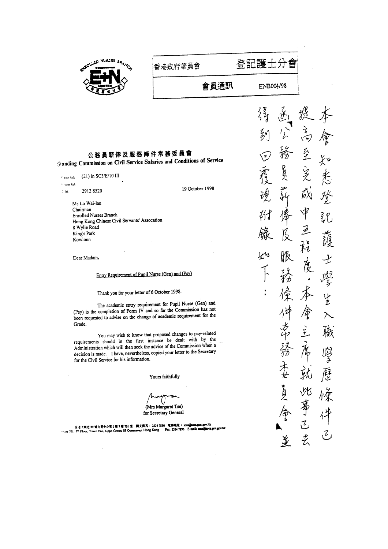| <b>BACK LECHUR OF YOUR SELVE</b>                                                                                                                                                                                                                                       | 香港政府華員會                                                   | 登記護士分會        |                                  |
|------------------------------------------------------------------------------------------------------------------------------------------------------------------------------------------------------------------------------------------------------------------------|-----------------------------------------------------------|---------------|----------------------------------|
|                                                                                                                                                                                                                                                                        | 會員通訊                                                      | ENB004/98     |                                  |
|                                                                                                                                                                                                                                                                        |                                                           | $\frac{p}{2}$ |                                  |
|                                                                                                                                                                                                                                                                        |                                                           | z<br>ł        | ¥<br>$\widetilde{\phantom{m}}$   |
| 公務員薪俸及服務條件常務委員會                                                                                                                                                                                                                                                        |                                                           | 務<br>ັນ,      | $\frac{7}{5}$                    |
| Standing Commission on Civil Service Salaries and Conditions of Service<br>(21) in SC3/E/10 III<br>C. Our Ref.:                                                                                                                                                        |                                                           | 负             |                                  |
| * Your Ref.:<br>29128520<br>5 Tel.:                                                                                                                                                                                                                                    | 19 October 1998                                           | میز<br>رکھ نہ | ĨЬXI<br>罗                        |
| Ms Lo Wai-lan<br>Chairman<br>Enrolled Nurses Branch<br>Hong Kong Chinese Civil Servants' Assocation                                                                                                                                                                    |                                                           |               |                                  |
| 8 Wylie Road<br>King's Park<br>Kowloon                                                                                                                                                                                                                                 |                                                           |               |                                  |
| Dear Madam.                                                                                                                                                                                                                                                            |                                                           | kk            | 廋                                |
| Entry Requirement of Pupil Nurse (Gen) and (Psy)                                                                                                                                                                                                                       |                                                           |               |                                  |
| Thank you for your letter of 6 October 1998.                                                                                                                                                                                                                           |                                                           | ٠             |                                  |
| (Psy) is the completion of Form IV and so far the Commission has not<br>been requested to advise on the change of academic requirement for the<br>Grade.                                                                                                               | The academic entry requirement for Pupil Nurse (Gen) and  |               |                                  |
| requirements should in the first instance be dealt with by the<br>Administration which will then seek the advice of the Commission when a<br>decision is made. I have, nevertheless, copied your letter to the Secretary<br>for the Civil Service for his information. | You may wish to know that proposed changes to pay-related | 岁             | 矽<br>ЛГХ                         |
|                                                                                                                                                                                                                                                                        | Yours faithfully                                          |               |                                  |
|                                                                                                                                                                                                                                                                        | (Mrs Margaret Tse)<br>for Secretary General               | 員             |                                  |
| 乔德立美班 89 號力買中心等 2 売 7 檐 701 宝 開文傳真: 2524 7896 電郵進址: secs@secs.gen.gov.hk<br>ham 701, 7th Floor, Tower Two, Lippo Centre, 89 Queensway, Hong Kong Fax: 2524 7896 E-mail: acca@acca.gen.gov.hk                                                                           |                                                           |               | $\mathcal{I}_{\mathcal{L}}$<br>そ |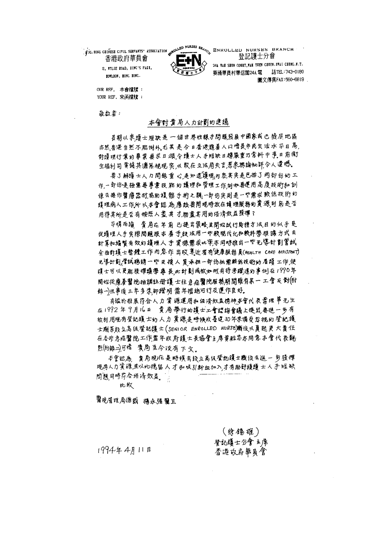香港政府華員會

8. WILLE ROAD, HING'S PART, **TOWLOON, HONG, HONG.** 



**THE TEXT ONE CETTES SERVATS' ASSOCIATION STROLLED** NURSES BRANCH 登記護士分質

241 WAH SHUN COURT, WAH YURN CHURN. INAI CHUNG.N.T. 葵涌華員村華信閣24A 電 話TEL: 743-0180 圖文傳真FAX:560-6819

OUR RFF, 本會檔號: YOUR REF. 來函檔號:

敬赦者:

## 本會對貴局人力計劃的建議

**员期以來遵士短跌是 - 個世界性棘手問題發展中國家或已發层地區** 亦然奢港自然不能例外,尤其 是 今日香港臆着人口增長市民生活水 罕日高, 對護理行業的專業要求日 漲,令護士人手短缺日趨嚴重乃意料中事,日前衛 生福钊司黄钱其濂黑视现实,以致在立法局失言,惹来舆谕批评,令人遗憾。

要了解鹱士人力問題重 心是知道護理,对衷其实是巳描了两部份的工 作一部份是極需要尊秉技能的護理和管理工作例如要運用高度技術和訓 辣去操作医療器材,協助複 雜 手桁之類:一部份实则是一些需求 較低 找 街 幻 護理病人工作所 以本宫認 為 應 改要問現時放在護理服務的貧 源,到 府是否 用得其所是否有 按照人 盡 其 才,物 盡其用的经清效益獲揮 ?

卒情而論 贵局在年前 已提出策略送開始試行幾種方法,目的似手是 **從蹲理人手实襟問題根本 卷手 設 法用一些较明代化和较科學根 掳 方式 去** 計算和編製有效的複理人 手 資源需求比率亦同時推出一些先導計劃管試 全面對護士整體工作內容作出改革近者有使原服務員(HEALTH CARE ASSISTANT) 光導計劃,僧試鸦購一些支援人員承担一部份抵需較低技術的看護工作,使 護士可以更能發揮護學 專 長此計劃成效如何有特考證遵的事例在1990年 閒姓從療養醫院抽調註册 薄 士往刍疟医院服務期間雎有某一 工官 反对(附 鉢一)但事後三年多來卻證明 當年措施可行及運作良好。

有槛於雅展符合人力 資 源遇用和经济效益榜神本會代表 蒙理 革先生 在1992年9月16日 黄局舉行的護士工會證詢會議上提出要進一步有 效刺用现有登记模士的 人力 贫源是畸候改善追30年茶備受忍视的 登記護 士联系設立高级登記護士(SENIOR ENROLLED NURSE)職伎以夏起更大貴任 在各非急症醫院工作當年欧府護士長協會主席黄駐忠亦同意本會代表關 熟附绿7可惜 黄局至今没有下文。

本官認為 黄局规作是 畸候去設立高级登記護士職侯去進一 与资挥 現存人力資源,並以比挽留 人 才 和 吸引新血加入 才有助舒缓薄 士 人 手 短 缺 問題同時符合經済效益

比纹

医晚肾理局德裁 携永强 醫生

(徐锡雄) 登記獲士分會主席 香港政府畢員會

1994年4月11日